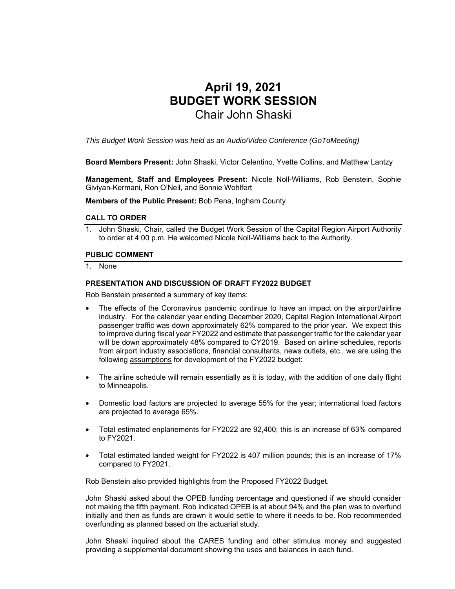# **April 19, 2021 BUDGET WORK SESSION**  Chair John Shaski

*This Budget Work Session was held as an Audio/Video Conference (GoToMeeting)* 

**Board Members Present:** John Shaski, Victor Celentino, Yvette Collins, and Matthew Lantzy

**Management, Staff and Employees Present:** Nicole Noll-Williams, Rob Benstein, Sophie Giviyan-Kermani, Ron O'Neil, and Bonnie Wohlfert

**Members of the Public Present:** Bob Pena, Ingham County

#### **CALL TO ORDER**

1. John Shaski, Chair, called the Budget Work Session of the Capital Region Airport Authority to order at 4:00 p.m. He welcomed Nicole Noll-Williams back to the Authority.

#### **PUBLIC COMMENT**

1. None

#### **PRESENTATION AND DISCUSSION OF DRAFT FY2022 BUDGET**

Rob Benstein presented a summary of key items:

- The effects of the Coronavirus pandemic continue to have an impact on the airport/airline industry. For the calendar year ending December 2020, Capital Region International Airport passenger traffic was down approximately 62% compared to the prior year. We expect this to improve during fiscal year FY2022 and estimate that passenger traffic for the calendar year will be down approximately 48% compared to CY2019. Based on airline schedules, reports from airport industry associations, financial consultants, news outlets, etc., we are using the following assumptions for development of the FY2022 budget:
- The airline schedule will remain essentially as it is today, with the addition of one daily flight to Minneapolis.
- Domestic load factors are projected to average 55% for the year; international load factors are projected to average 65%.
- Total estimated enplanements for FY2022 are 92,400; this is an increase of 63% compared to FY2021.
- Total estimated landed weight for FY2022 is 407 million pounds; this is an increase of 17% compared to FY2021.

Rob Benstein also provided highlights from the Proposed FY2022 Budget.

John Shaski asked about the OPEB funding percentage and questioned if we should consider not making the fifth payment. Rob indicated OPEB is at about 94% and the plan was to overfund initially and then as funds are drawn it would settle to where it needs to be. Rob recommended overfunding as planned based on the actuarial study.

John Shaski inquired about the CARES funding and other stimulus money and suggested providing a supplemental document showing the uses and balances in each fund.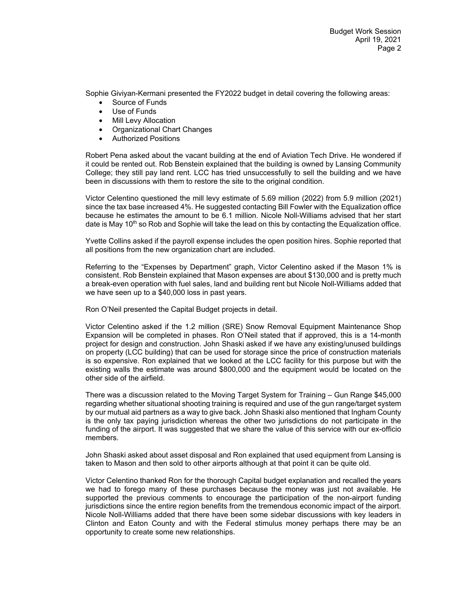Sophie Giviyan-Kermani presented the FY2022 budget in detail covering the following areas:

- Source of Funds
- Use of Funds
- Mill Levy Allocation
- Organizational Chart Changes
- Authorized Positions

Robert Pena asked about the vacant building at the end of Aviation Tech Drive. He wondered if it could be rented out. Rob Benstein explained that the building is owned by Lansing Community College; they still pay land rent. LCC has tried unsuccessfully to sell the building and we have been in discussions with them to restore the site to the original condition.

Victor Celentino questioned the mill levy estimate of 5.69 million (2022) from 5.9 million (2021) since the tax base increased 4%. He suggested contacting Bill Fowler with the Equalization office because he estimates the amount to be 6.1 million. Nicole Noll-Williams advised that her start date is May 10<sup>th</sup> so Rob and Sophie will take the lead on this by contacting the Equalization office.

Yvette Collins asked if the payroll expense includes the open position hires. Sophie reported that all positions from the new organization chart are included.

Referring to the "Expenses by Department" graph, Victor Celentino asked if the Mason 1% is consistent. Rob Benstein explained that Mason expenses are about \$130,000 and is pretty much a break-even operation with fuel sales, land and building rent but Nicole Noll-Williams added that we have seen up to a \$40,000 loss in past years.

Ron O'Neil presented the Capital Budget projects in detail.

Victor Celentino asked if the 1.2 million (SRE) Snow Removal Equipment Maintenance Shop Expansion will be completed in phases. Ron O'Neil stated that if approved, this is a 14-month project for design and construction. John Shaski asked if we have any existing/unused buildings on property (LCC building) that can be used for storage since the price of construction materials is so expensive. Ron explained that we looked at the LCC facility for this purpose but with the existing walls the estimate was around \$800,000 and the equipment would be located on the other side of the airfield.

There was a discussion related to the Moving Target System for Training – Gun Range \$45,000 regarding whether situational shooting training is required and use of the gun range/target system by our mutual aid partners as a way to give back. John Shaski also mentioned that Ingham County is the only tax paying jurisdiction whereas the other two jurisdictions do not participate in the funding of the airport. It was suggested that we share the value of this service with our ex-officio members.

John Shaski asked about asset disposal and Ron explained that used equipment from Lansing is taken to Mason and then sold to other airports although at that point it can be quite old.

Victor Celentino thanked Ron for the thorough Capital budget explanation and recalled the years we had to forego many of these purchases because the money was just not available. He supported the previous comments to encourage the participation of the non-airport funding jurisdictions since the entire region benefits from the tremendous economic impact of the airport. Nicole Noll-Williams added that there have been some sidebar discussions with key leaders in Clinton and Eaton County and with the Federal stimulus money perhaps there may be an opportunity to create some new relationships.